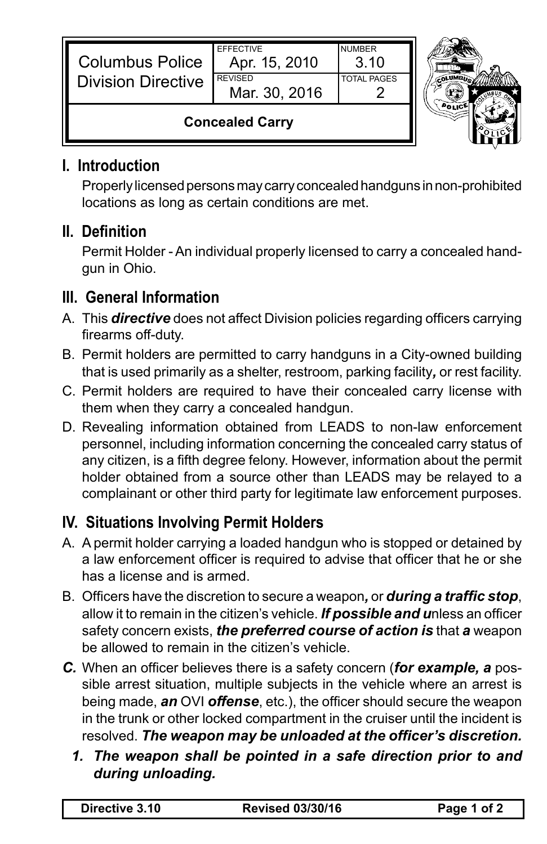| <b>Columbus Police</b><br><b>Division Directive</b> | <b>EFFECTIVE</b><br>Apr. 15, 2010<br><b>REVISED</b><br>Mar. 30, 2016 | <b>NUMBER</b><br>3.10<br><b>TOTAL PAGES</b> |  |
|-----------------------------------------------------|----------------------------------------------------------------------|---------------------------------------------|--|
| <b>Concealed Carry</b>                              |                                                                      |                                             |  |

#### **I. Introduction**

IL.

Properly licensed persons may carry concealed handguns in non-prohibited locations as long as certain conditions are met.

## **II. Definition**

Permit Holder - An individual properly licensed to carry a concealed handgun in Ohio.

### **III. General Information**

- A. This *directive* does not affect Division policies regarding officers carrying firearms off-duty.
- B. Permit holders are permitted to carry handguns in a City-owned building that is used primarily as a shelter, restroom, parking facility*,* or rest facility.
- C. Permit holders are required to have their concealed carry license with them when they carry a concealed handgun.
- D. Revealing information obtained from LEADS to non-law enforcement personnel, including information concerning the concealed carry status of any citizen, is a fifth degree felony. However, information about the permit holder obtained from a source other than LEADS may be relayed to a complainant or other third party for legitimate law enforcement purposes.

# **IV. Situations Involving Permit Holders**

- A. A permit holder carrying a loaded handgun who is stopped or detained by a law enforcement officer is required to advise that officer that he or she has a license and is armed.
- B. Officers have the discretion to secure a weapon*,* or *during a traffic stop*, allow it to remain in the citizen's vehicle. *If possible and u*nless an officer safety concern exists, *the preferred course of action is* that *a* weapon be allowed to remain in the citizen's vehicle.
- *C.* When an officer believes there is a safety concern (*for example, a* possible arrest situation, multiple subjects in the vehicle where an arrest is being made, *an* OVI *offense*, etc.), the officer should secure the weapon in the trunk or other locked compartment in the cruiser until the incident is resolved. *The weapon may be unloaded at the officer's discretion.*
	- *1. The weapon shall be pointed in a safe direction prior to and during unloading.*